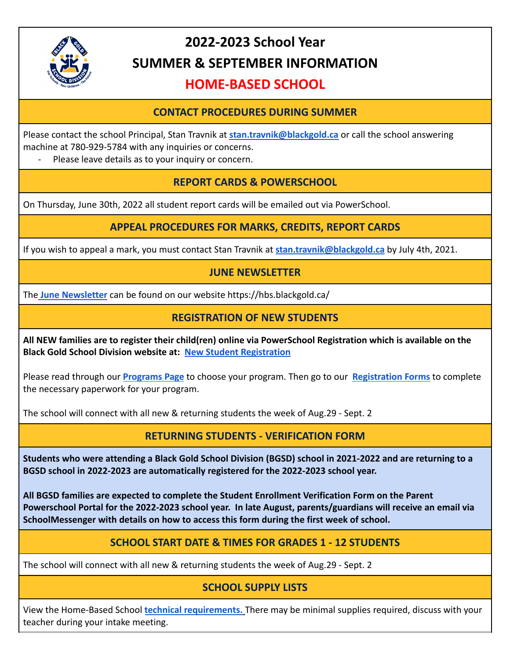

# **2022-2023 School Year SUMMER & SEPTEMBER INFORMATION**

# **HOME-BASED SCHOOL**

# **CONTACT PROCEDURES DURING SUMMER**

Please contact the school Principal, Stan Travnik at **[stan.travnik@blackgold.ca](mailto:www.stan.travnik@blackgold.ca)** or call the school answering machine at 780-929-5784 with any inquiries or concerns.

Please leave details as to your inquiry or concern.

# **REPORT CARDS & POWERSCHOOL**

On Thursday, June 30th, 2022 all student report cards will be emailed out via PowerSchool.

#### **APPEAL PROCEDURES FOR MARKS, CREDITS, REPORT CARDS**

If you wish to appeal a mark, you must contact Stan Travnik at **[stan.travnik@blackgold.ca](mailto:stan.travnik@blackgold.ca)** by July 4th, 2021.

#### **JUNE NEWSLETTER**

The **[June Newsletter](https://hbs.blackgold.ca/newsletters-june-2022/)** can be found on our website https://hbs.blackgold.ca/

#### **REGISTRATION OF NEW STUDENTS**

**All NEW families are to register their child(ren) online via PowerSchool Registration which is available on the Black Gold School Division website at: [New Student](https://www.blackgold.ca/parents/registration/) Registration**

Please read through our **[Programs Page](https://hbs.blackgold.ca/programs/)** to choose your program. Then go to our **[Registration Forms](https://hbs.blackgold.ca/parents/forms/)** to complete the necessary paperwork for your program.

The school will connect with all new & returning students the week of Aug.29 - Sept. 2

# **RETURNING STUDENTS - VERIFICATION FORM**

**Students who were attending a Black Gold School Division (BGSD) school in 2021-2022 and are returning to a BGSD school in 2022-2023 are automatically registered for the 2022-2023 school year.**

**All BGSD families are expected to complete the Student Enrollment Verification Form on the Parent Powerschool Portal for the 2022-2023 school year. In late August, parents/guardians will receive an email via SchoolMessenger with details on how to access this form during the first week of school.**

#### **SCHOOL START DATE & TIMES FOR GRADES 1 - 12 STUDENTS**

The school will connect with all new & returning students the week of Aug.29 - Sept. 2

# **SCHOOL SUPPLY LISTS**

View the Home-Based School **[technical requirements](https://hbs.blackgold.ca/wp-content/uploads/sites/6/2022/03/Technical-Requirements-for-Home-Schooling.pdf).** There may be minimal supplies required, discuss with your teacher during your intake meeting.